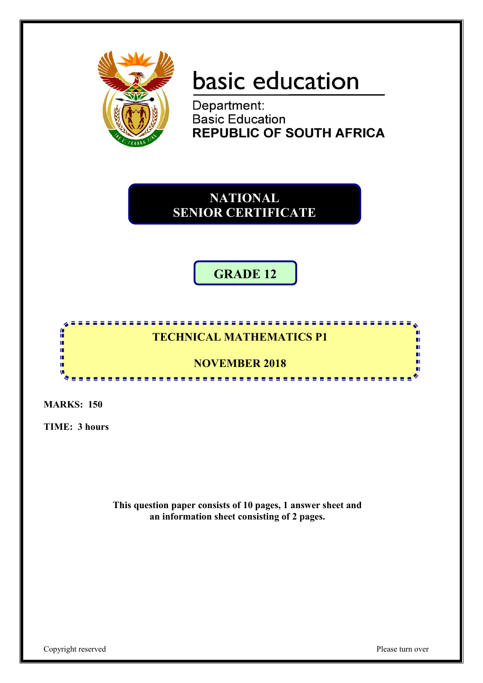

# basic education

Department: **Basic Education REPUBLIC OF SOUTH AFRICA** 

**NATIONAL SENIOR CERTIFICATE**

# **GRADE 12**

## **TECHNICAL MATHEMATICS P1**

## **NOVEMBER 2018**

....................

**MARKS: 150**

僧 ï,

庫 ı. ú. w

**TIME: 3 hours**

**This question paper consists of 10 pages, 1 answer sheet and an information sheet consisting of 2 pages.**

ш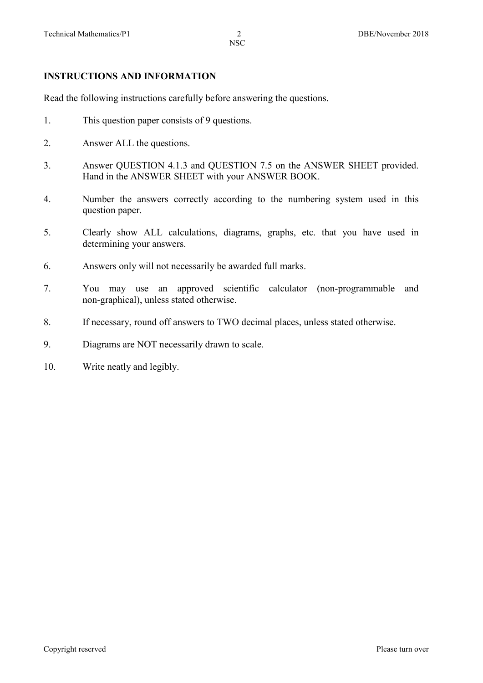#### **INSTRUCTIONS AND INFORMATION**

Read the following instructions carefully before answering the questions.

- 1. This question paper consists of 9 questions.
- 2. Answer ALL the questions.
- 3. Answer QUESTION 4.1.3 and QUESTION 7.5 on the ANSWER SHEET provided. Hand in the ANSWER SHEET with your ANSWER BOOK.
- 4. Number the answers correctly according to the numbering system used in this question paper.
- 5. Clearly show ALL calculations, diagrams, graphs, etc. that you have used in determining your answers.
- 6. Answers only will not necessarily be awarded full marks.
- 7. You may use an approved scientific calculator (non-programmable and non-graphical), unless stated otherwise.
- 8. If necessary, round off answers to TWO decimal places, unless stated otherwise.
- 9. Diagrams are NOT necessarily drawn to scale.
- 10. Write neatly and legibly.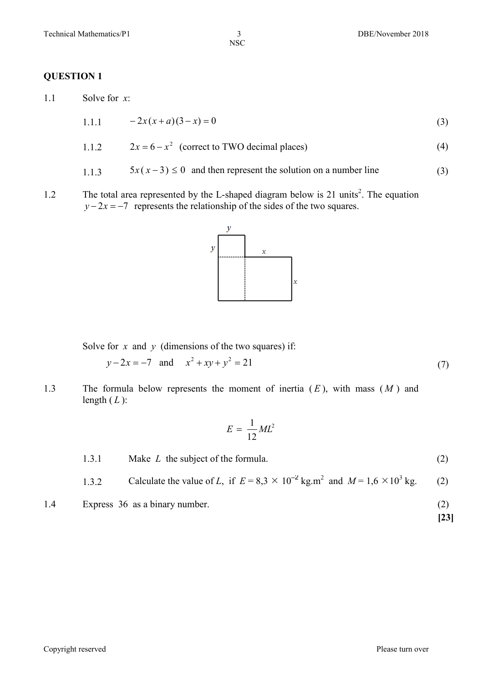## **QUESTION 1**

1.1 Solve for *x*:

1.1.1 
$$
-2x(x+a)(3-x) = 0
$$
 (3)

1.1.2 
$$
2x = 6 - x^2
$$
 (correct to TWO decimal places) (4)

- 1.1.3  $5x(x-3) \le 0$  and then represent the solution on a number line (3)
- 1.2 The total area represented by the L-shaped diagram below is 21 units<sup>2</sup>. The equation *y* − 2*x* = −7 represents the relationship of the sides of the two squares.



Solve for  $x$  and  $y$  (dimensions of the two squares) if:

$$
y-2x = -7
$$
 and  $x^2 + xy + y^2 = 21$  (7)

1.3 The formula below represents the moment of inertia ( *E* ), with mass ( *M* ) and length  $(L)$ :

$$
E = \frac{1}{12}ML^2
$$

1.3.1 Make *L* the subject of the formula. (2)  
1.3.2 Calculate the value of *L*, if 
$$
E = 8.3 \times 10^{-2}
$$
 kg.m<sup>2</sup> and  $M = 1.6 \times 10^{3}$  kg. (2)

1.4 Express 36 as a binary number. (2)

**[23]**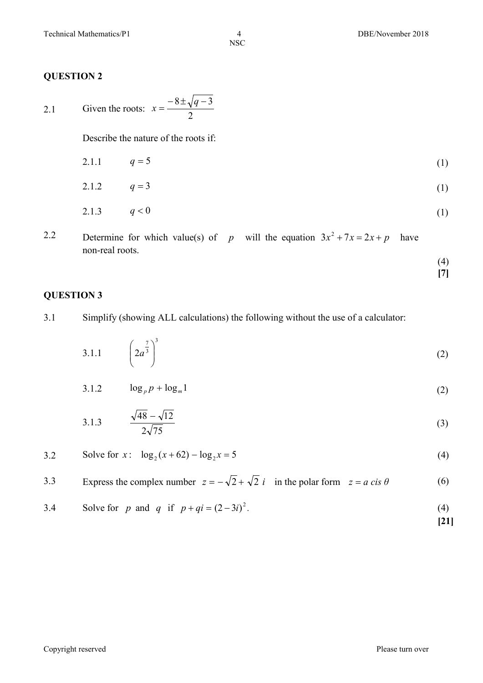### **QUESTION 2**

2.1 Given the roots: 
$$
x = \frac{-8 \pm \sqrt{q-3}}{2}
$$

Describe the nature of the roots if:

2.1.1 
$$
q = 5
$$
 (1)

$$
2.1.2 \qquad q = 3 \tag{1}
$$

$$
2.1.3 \t q < 0 \t(1)
$$

2.2 Determine for which value(s) of *p* will the equation  $3x^2 + 7x = 2x + p$  have non-real roots.

> (4) **[7]**

## **QUESTION 3**

3.1 Simplify (showing ALL calculations) the following without the use of a calculator:

$$
3.1.1 \qquad \left(2a^{\frac{7}{3}}\right)^3 \tag{2}
$$

$$
3.1.2 \qquad \log_p p + \log_m 1 \tag{2}
$$

3.1.3 
$$
\frac{\sqrt{48} - \sqrt{12}}{2\sqrt{75}}
$$
 (3)

3.2 Solve for x: 
$$
\log_2(x+62) - \log_2 x = 5
$$
 (4)

3.3 Express the complex number 
$$
z = -\sqrt{2} + \sqrt{2} i
$$
 in the polar form  $z = a cis \theta$  (6)

3.4 Solve for *p* and *q* if 
$$
p + qi = (2 - 3i)^2
$$
. (4)

**[21]**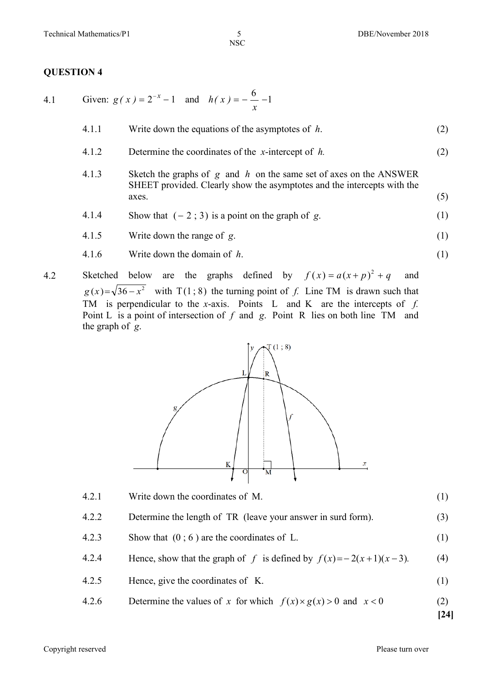## **QUESTION 4**

4.1 Given: 
$$
g(x) = 2^{-x} - 1
$$
 and  $h(x) = -\frac{6}{x} - 1$ 

| 4.1.1 | Write down the equations of the asymptotes of $h$ .                                                                                                        | (2) |
|-------|------------------------------------------------------------------------------------------------------------------------------------------------------------|-----|
| 4.1.2 | Determine the coordinates of the x-intercept of $h$ .                                                                                                      | (2) |
| 4.1.3 | Sketch the graphs of $g$ and $h$ on the same set of axes on the ANSWER<br>SHEET provided. Clearly show the asymptotes and the intercepts with the<br>axes. | (5) |
| 4.1.4 | Show that $(-2, 3)$ is a point on the graph of g.                                                                                                          | (1) |
| 4.1.5 | Write down the range of $g$ .                                                                                                                              | (1) |
| 4.1.6 | Write down the domain of $h$ .                                                                                                                             |     |

4.2 Sketched below are the graphs defined by  $f(x) = a(x+p)^2 + q$  and  $g(x)=\sqrt{36-x^2}$  with T(1;8) the turning point of *f*. Line TM is drawn such that TM is perpendicular to the *x*-axis. Points L and K are the intercepts of *f.*  Point L is a point of intersection of *f* and *g*. Point R lies on both line TM and the graph of *g*.



| 4.2.6 | Determine the values of x for which $f(x) \times g(x) > 0$ and $x < 0$ | (2)<br>[24] |
|-------|------------------------------------------------------------------------|-------------|
| 4.2.5 | Hence, give the coordinates of K.                                      | (1)         |
| 4.2.4 | Hence, show that the graph of f is defined by $f(x) = -2(x+1)(x-3)$ .  | (4)         |
| 4.2.3 | Show that $(0, 6)$ are the coordinates of L.                           | (1)         |
| 4.2.2 | Determine the length of TR (leave your answer in surd form).           | (3)         |
| 4.2.1 | Write down the coordinates of M.                                       |             |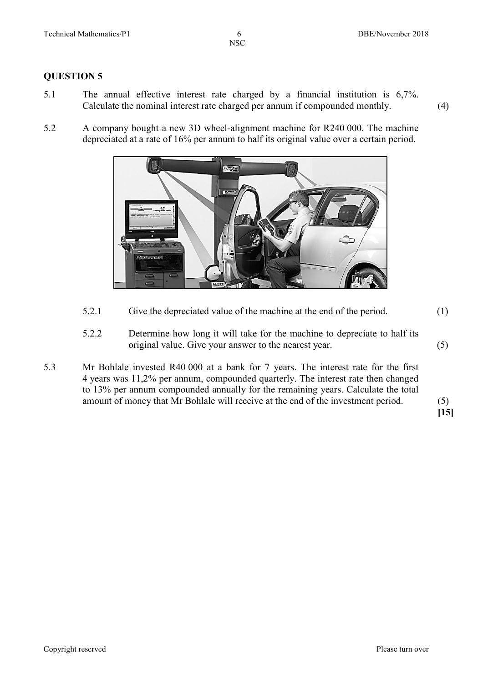#### **QUESTION 5**

- 5.1 The annual effective interest rate charged by a financial institution is 6,7%. Calculate the nominal interest rate charged per annum if compounded monthly. (4)
- 5.2 A company bought a new 3D wheel-alignment machine for R240 000. The machine depreciated at a rate of 16% per annum to half its original value over a certain period.



- 5.2.1 Give the depreciated value of the machine at the end of the period. (1)
- 5.2.2 Determine how long it will take for the machine to depreciate to half its original value. Give your answer to the nearest year. (5)
- 5.3 Mr Bohlale invested R40 000 at a bank for 7 years. The interest rate for the first 4 years was 11,2% per annum, compounded quarterly. The interest rate then changed to 13% per annum compounded annually for the remaining years. Calculate the total amount of money that Mr Bohlale will receive at the end of the investment period. (5)

**[15]**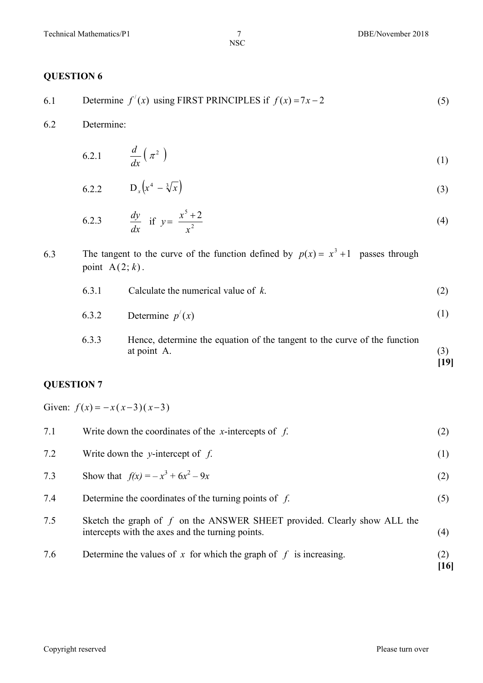## **QUESTION 6**

6.1 Determine 
$$
f'(x)
$$
 using FIRST PRINCIPLES if  $f(x) = 7x - 2$  (5)

6.2 Determine:

$$
6.2.1 \qquad \frac{d}{dx}\left(\pi^2\right) \tag{1}
$$

6.2.2 
$$
D_x(x^4 - \sqrt[3]{x})
$$
 (3)

6.2.3 
$$
\frac{dy}{dx}
$$
 if  $y = \frac{x^5 + 2}{x^2}$  (4)

6.3 The tangent to the curve of the function defined by  $p(x) = x^3 + 1$  passes through point  $A(2; k)$ .

| 6.3.1 | Calculate the numerical value of $k$ . |  |
|-------|----------------------------------------|--|
|       |                                        |  |

$$
6.3.2 \qquad \text{Determine } p'(x) \tag{1}
$$

6.3.3 Hence, determine the equation of the tangent to the curve of the function at point A. (3) **[19]**

## **QUESTION 7**

Given:  $f(x) = -x(x-3)(x-3)$ 

| 7.1 | Write down the coordinates of the x-intercepts of $f$ .                                                                      | (2)         |
|-----|------------------------------------------------------------------------------------------------------------------------------|-------------|
| 7.2 | Write down the y-intercept of $f$ .                                                                                          | (1)         |
| 7.3 | Show that $f(x) = -x^3 + 6x^2 - 9x$                                                                                          | (2)         |
| 7.4 | Determine the coordinates of the turning points of $f$ .                                                                     | (5)         |
| 7.5 | Sketch the graph of f on the ANSWER SHEET provided. Clearly show ALL the<br>intercepts with the axes and the turning points. | (4)         |
| 7.6 | Determine the values of x for which the graph of $f$ is increasing.                                                          | (2)<br>[16] |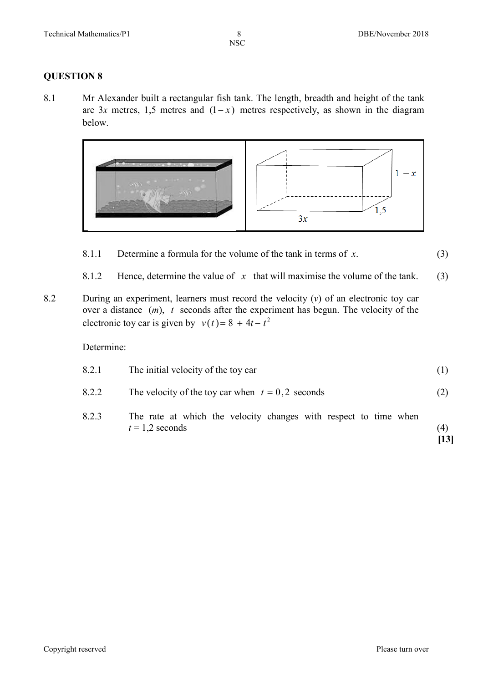### **QUESTION 8**

8.1 Mr Alexander built a rectangular fish tank. The length, breadth and height of the tank are 3*x* metres, 1,5 metres and (1− *x* ) metres respectively, as shown in the diagram below.



- 8.1.1 Determine a formula for the volume of the tank in terms of *x*. (3)
- 8.1.2 Hence, determine the value of  $x$  that will maximise the volume of the tank. (3)
- 8.2 During an experiment, learners must record the velocity (*v*) of an electronic toy car over a distance (*m*), *t* seconds after the experiment has begun. The velocity of the electronic toy car is given by  $v(t) = 8 + 4t - t^2$

#### Determine:

| 8.2.1 | The initial velocity of the toy car                                                   | (1) |
|-------|---------------------------------------------------------------------------------------|-----|
| 8.2.2 | The velocity of the toy car when $t = 0, 2$ seconds                                   | (2) |
| 8.2.3 | The rate at which the velocity changes with respect to time when<br>$t = 1.2$ seconds |     |

**[13]**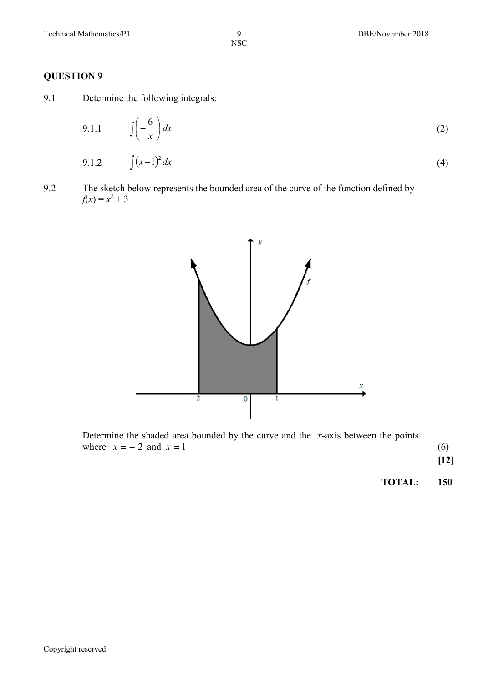## **QUESTION 9**

9.1 Determine the following integrals:

$$
9.1.1 \qquad \int \left(-\frac{6}{x}\right) dx \tag{2}
$$

9.1.2 
$$
\int (x-1)^2 dx
$$
 (4)

9.2 The sketch below represents the bounded area of the curve of the function defined by  $f(x) = x^2 + 3$ 



Determine the shaded area bounded by the curve and the *x*-axis between the points where  $x = -2$  and  $x = 1$  (6)

**[12]**

**TOTAL: 150**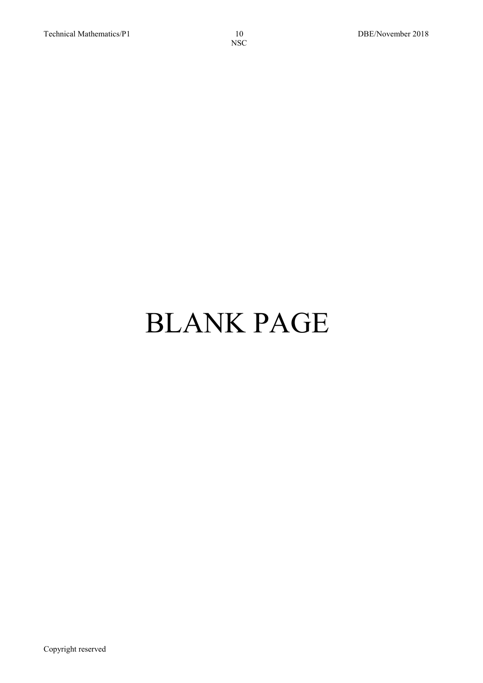# BLANK PAGE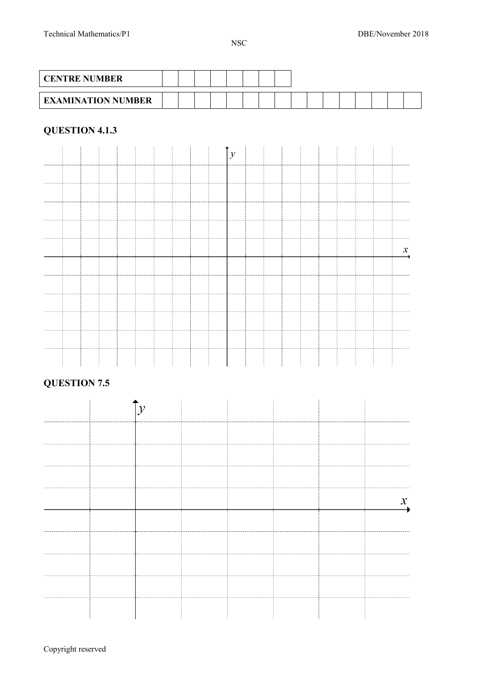| <b>CENTRE NUMBER</b>      |  |  |  |  |  |  |  |  |
|---------------------------|--|--|--|--|--|--|--|--|
| <b>EXAMINATION NUMBER</b> |  |  |  |  |  |  |  |  |

## **QUESTION 4.1.3**



## **QUESTION 7.5**

|  |  |  | $\mathcal{X}$ |
|--|--|--|---------------|
|  |  |  |               |
|  |  |  |               |
|  |  |  |               |
|  |  |  |               |
|  |  |  |               |

Copyright reserved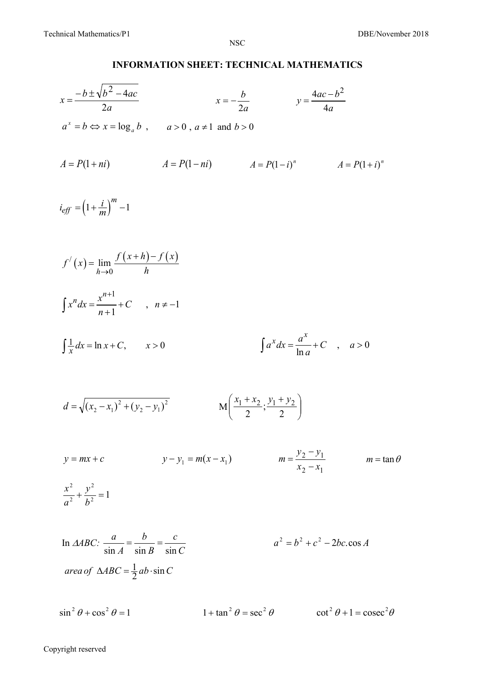## **INFORMATION SHEET: TECHNICAL MATHEMATICS**

$$
x = \frac{-b \pm \sqrt{b^2 - 4ac}}{2a}
$$
  
\n
$$
x = -\frac{b}{2a}
$$
  
\n
$$
y = \frac{4ac - b^2}{4a}
$$
  
\n
$$
a^* = b \Leftrightarrow x = \log_a b
$$
,  $a > 0$ ,  $a \ne 1$  and  $b > 0$   
\n
$$
A = P(1 + ni)
$$
  
\n
$$
A = P(1 - ni)
$$
  
\n
$$
A = P(1 - i)^n
$$
  
\n
$$
A = P(1 + i)^m - 1
$$
  
\n
$$
f'(x) = \lim_{h \to 0} \frac{f(x+h) - f(x)}{h}
$$
  
\n
$$
\int x^n dx = \frac{x^{n+1}}{n+1} + C
$$
,  $n \ne -1$   
\n
$$
\int \frac{1}{x} dx = \ln x + C
$$
,  $x > 0$   
\n
$$
d = \sqrt{(x_2 - x_1)^2 + (y_2 - y_1)^2}
$$
  
\n
$$
y = mx + c
$$
  
\n
$$
y - y_1 = m(x - x_1)
$$
  
\n
$$
y = \frac{y_2 - y_1}{x_2 - x_1}
$$
  
\n
$$
\frac{x^2}{a^2} + \frac{y^2}{b^2} = 1
$$
  
\n
$$
\ln \triangle ABC: \frac{a}{\sin A} = \frac{b}{\sin B} = \frac{c}{\sin C}
$$
  
\n
$$
a^2 = b^2 + c^2 - 2bc \cos A
$$
  
\n
$$
a^2 = b^2 + c^2 - 2bc \cos A
$$
  
\n
$$
a^2 = b^2 + c^2 - 2bc \cos A
$$

 $\sin^2 \theta + \cos^2 \theta = 1$   $1 + \tan^2 \theta = \sec^2 \theta$   $\cot^2 \theta + 1 = \csc^2 \theta$